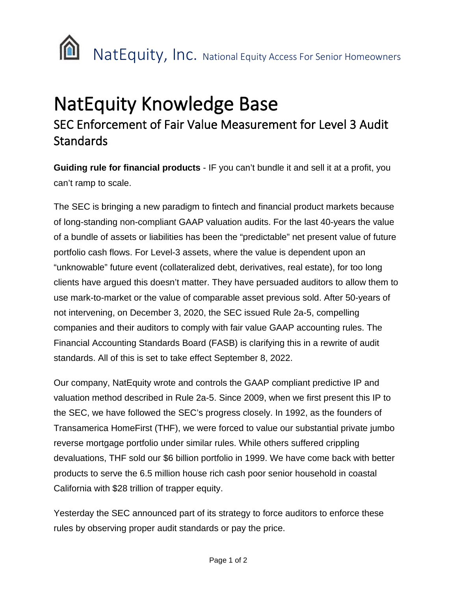

## NatEquity Knowledge Base<br>SEC Enforcement of Fair Value Measurement for Level 3 Audit **Standards**

**Guiding rule for financial products** - IF you can't bundle it and sell it at a profit, you can't ramp to scale.

The SEC is bringing a new paradigm to fintech and financial product markets because of long-standing non-compliant GAAP valuation audits. For the last 40-years the value of a bundle of assets or liabilities has been the "predictable" net present value of future portfolio cash flows. For Level-3 assets, where the value is dependent upon an "unknowable" future event (collateralized debt, derivatives, real estate), for too long clients have argued this doesn't matter. They have persuaded auditors to allow them to use mark-to-market or the value of comparable asset previous sold. After 50-years of not intervening, on December 3, 2020, the SEC issued Rule 2a-5, compelling companies and their auditors to comply with fair value GAAP accounting rules. The Financial Accounting Standards Board (FASB) is clarifying this in a rewrite of audit standards. All of this is set to take effect September 8, 2022.

Our company, NatEquity wrote and controls the GAAP compliant predictive IP and valuation method described in Rule 2a-5. Since 2009, when we first present this IP to the SEC, we have followed the SEC's progress closely. In 1992, as the founders of Transamerica HomeFirst (THF), we were forced to value our substantial private jumbo reverse mortgage portfolio under similar rules. While others suffered crippling devaluations, THF sold our \$6 billion portfolio in 1999. We have come back with better products to serve the 6.5 million house rich cash poor senior household in coastal California with \$28 trillion of trapper equity.

Yesterday the SEC announced part of its strategy to force auditors to enforce these rules by observing proper audit standards or pay the price.